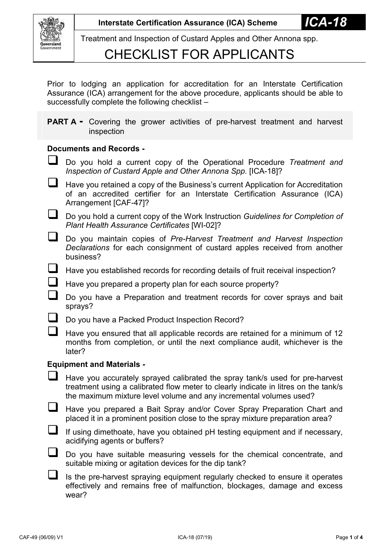

Treatment and Inspection of Custard Apples and Other Annona spp.

### CHECKLIST FOR APPLICANTS

Prior to lodging an application for accreditation for an Interstate Certification Assurance (ICA) arrangement for the above procedure, applicants should be able to successfully complete the following checklist –

**PART A** - Covering the grower activities of pre-harvest treatment and harvest inspection

#### **Documents and Records -**

- Do you hold a current copy of the Operational Procedure *Treatment and Inspection of Custard Apple and Other Annona Spp.* [ICA-18]?
- $\Box$  Have you retained a copy of the Business's current Application for Accreditation of an accredited certifier for an Interstate Certification Assurance (ICA) Arrangement [CAF-47]?
- Do you hold a current copy of the Work Instruction *Guidelines for Completion of Plant Health Assurance Certificates* [WI-02]?
- Do you maintain copies of *Pre-Harvest Treatment and Harvest Inspection Declarations* for each consignment of custard apples received from another business?
- $\Box$  Have you established records for recording details of fruit receival inspection?
- Have you prepared a property plan for each source property?
	- Do you have a Preparation and treatment records for cover sprays and bait sprays?
- Do you have a Packed Product Inspection Record?
	- Have you ensured that all applicable records are retained for a minimum of 12 months from completion, or until the next compliance audit, whichever is the later?

#### **Equipment and Materials -**

- $\Box$  Have you accurately sprayed calibrated the spray tank/s used for pre-harvest treatment using a calibrated flow meter to clearly indicate in litres on the tank/s the maximum mixture level volume and any incremental volumes used?
- Have you prepared a Bait Spray and/or Cover Spray Preparation Chart and placed it in a prominent position close to the spray mixture preparation area?
- $\Box$  If using dimethoate, have you obtained pH testing equipment and if necessary, acidifying agents or buffers?

Do you have suitable measuring vessels for the chemical concentrate, and suitable mixing or agitation devices for the dip tank?

 $\Box$  Is the pre-harvest spraying equipment regularly checked to ensure it operates effectively and remains free of malfunction, blockages, damage and excess wear?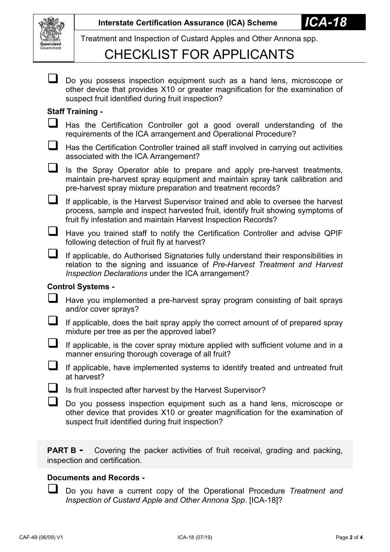

Treatment and Inspection of Custard Apples and Other Annona spp.

## CHECKLIST FOR APPLICANTS

|                          | Do you possess inspection equipment such as a hand lens, microscope or<br>other device that provides X10 or greater magnification for the examination of<br>suspect fruit identified during fruit inspection?                         |  |
|--------------------------|---------------------------------------------------------------------------------------------------------------------------------------------------------------------------------------------------------------------------------------|--|
| <b>Staff Training -</b>  |                                                                                                                                                                                                                                       |  |
| $\sqcup$                 | Has the Certification Controller got a good overall understanding of the<br>requirements of the ICA arrangement and Operational Procedure?                                                                                            |  |
| ⊔                        | Has the Certification Controller trained all staff involved in carrying out activities<br>associated with the ICA Arrangement?                                                                                                        |  |
| $\Box$                   | Is the Spray Operator able to prepare and apply pre-harvest treatments,<br>maintain pre-harvest spray equipment and maintain spray tank calibration and<br>pre-harvest spray mixture preparation and treatment records?               |  |
| $\Box$                   | If applicable, is the Harvest Supervisor trained and able to oversee the harvest<br>process, sample and inspect harvested fruit, identify fruit showing symptoms of<br>fruit fly infestation and maintain Harvest Inspection Records? |  |
| $\Box$                   | Have you trained staff to notify the Certification Controller and advise QPIF<br>following detection of fruit fly at harvest?                                                                                                         |  |
| $\Box$                   | If applicable, do Authorised Signatories fully understand their responsibilities in<br>relation to the signing and issuance of Pre-Harvest Treatment and Harvest<br>Inspection Declarations under the ICA arrangement?                |  |
| <b>Control Systems -</b> |                                                                                                                                                                                                                                       |  |
|                          | Have you implemented a pre-harvest spray program consisting of bait sprays<br>and/or cover sprays?                                                                                                                                    |  |
| $\sqcup$                 | If applicable, does the bait spray apply the correct amount of of prepared spray<br>mixture per tree as per the approved label?                                                                                                       |  |
| $\sqcup$                 | If applicable, is the cover spray mixture applied with sufficient volume and in a<br>manner ensuring thorough coverage of all fruit?                                                                                                  |  |
|                          | If applicable, have implemented systems to identify treated and untreated fruit<br>at harvest?                                                                                                                                        |  |
|                          | Is fruit inspected after harvest by the Harvest Supervisor?                                                                                                                                                                           |  |
|                          | Do you possess inspection equipment such as a hand lens, microscope or<br>other device that provides X10 or greater magnification for the examination of<br>suspect fruit identified during fruit inspection?                         |  |
|                          |                                                                                                                                                                                                                                       |  |

**PART B** - Covering the packer activities of fruit receival, grading and packing, inspection and certification.

### **Documents and Records -**

 Do you have a current copy of the Operational Procedure *Treatment and Inspection of Custard Apple and Other Annona Spp*. [ICA-18]?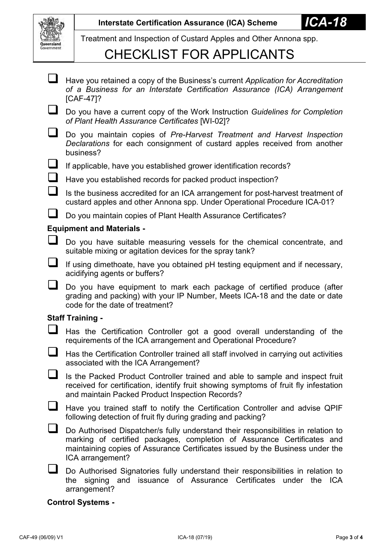

Treatment and Inspection of Custard Apples and Other Annona spp.

# CHECKLIST FOR APPLICANTS

| $\sqcup$                         | Have you retained a copy of the Business's current Application for Accreditation<br>of a Business for an Interstate Certification Assurance (ICA) Arrangement<br>$[CAF-47]$ ?                                                                                     |  |
|----------------------------------|-------------------------------------------------------------------------------------------------------------------------------------------------------------------------------------------------------------------------------------------------------------------|--|
|                                  | Do you have a current copy of the Work Instruction Guidelines for Completion<br>of Plant Health Assurance Certificates [WI-02]?                                                                                                                                   |  |
| ⊔                                | Do you maintain copies of Pre-Harvest Treatment and Harvest Inspection<br>Declarations for each consignment of custard apples received from another<br>business?                                                                                                  |  |
|                                  | If applicable, have you established grower identification records?                                                                                                                                                                                                |  |
| $\sqcup$                         | Have you established records for packed product inspection?                                                                                                                                                                                                       |  |
|                                  | Is the business accredited for an ICA arrangement for post-harvest treatment of<br>custard apples and other Annona spp. Under Operational Procedure ICA-01?                                                                                                       |  |
|                                  | Do you maintain copies of Plant Health Assurance Certificates?                                                                                                                                                                                                    |  |
| <b>Equipment and Materials -</b> |                                                                                                                                                                                                                                                                   |  |
|                                  | Do you have suitable measuring vessels for the chemical concentrate, and<br>suitable mixing or agitation devices for the spray tank?                                                                                                                              |  |
|                                  | If using dimethoate, have you obtained pH testing equipment and if necessary,<br>acidifying agents or buffers?                                                                                                                                                    |  |
|                                  | Do you have equipment to mark each package of certified produce (after<br>grading and packing) with your IP Number, Meets ICA-18 and the date or date<br>code for the date of treatment?                                                                          |  |
| <b>Staff Training -</b>          |                                                                                                                                                                                                                                                                   |  |
|                                  | Has the Certification Controller got a good overall understanding of the<br>requirements of the ICA arrangement and Operational Procedure?                                                                                                                        |  |
|                                  | Has the Certification Controller trained all staff involved in carrying out activities<br>associated with the ICA Arrangement?                                                                                                                                    |  |
|                                  | Is the Packed Product Controller trained and able to sample and inspect fruit<br>received for certification, identify fruit showing symptoms of fruit fly infestation<br>and maintain Packed Product Inspection Records?                                          |  |
|                                  | Have you trained staff to notify the Certification Controller and advise QPIF<br>following detection of fruit fly during grading and packing?                                                                                                                     |  |
|                                  | Do Authorised Dispatcher/s fully understand their responsibilities in relation to<br>marking of certified packages, completion of Assurance Certificates and<br>maintaining copies of Assurance Certificates issued by the Business under the<br>ICA arrangement? |  |
|                                  | Do Authorised Signatories fully understand their responsibilities in relation to<br>the signing and issuance of Assurance Certificates under the ICA<br>arrangement?                                                                                              |  |

**Control Systems -**